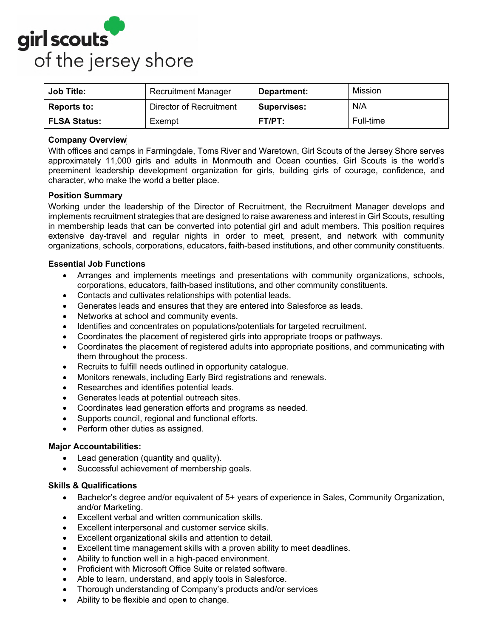

| <b>Job Title:</b>   | <b>Recruitment Manager</b> | Department:        | Mission   |
|---------------------|----------------------------|--------------------|-----------|
| <b>Reports to:</b>  | Director of Recruitment    | <b>Supervises:</b> | N/A       |
| <b>FLSA Status:</b> | Exempt                     | FT/PT:             | Full-time |

# **Company Overview**

With offices and camps in Farmingdale, Toms River and Waretown, Girl Scouts of the Jersey Shore serves approximately 11,000 girls and adults in Monmouth and Ocean counties. Girl Scouts is the world's preeminent leadership development organization for girls, building girls of courage, confidence, and character, who make the world a better place.

### **Position Summary**

Working under the leadership of the Director of Recruitment, the Recruitment Manager develops and implements recruitment strategies that are designed to raise awareness and interest in Girl Scouts, resulting in membership leads that can be converted into potential girl and adult members. This position requires extensive day-travel and regular nights in order to meet, present, and network with community organizations, schools, corporations, educators, faith-based institutions, and other community constituents.

### **Essential Job Functions**

- Arranges and implements meetings and presentations with community organizations, schools, corporations, educators, faith-based institutions, and other community constituents.
- Contacts and cultivates relationships with potential leads.
- Generates leads and ensures that they are entered into Salesforce as leads.
- Networks at school and community events.
- Identifies and concentrates on populations/potentials for targeted recruitment.
- Coordinates the placement of registered girls into appropriate troops or pathways.
- Coordinates the placement of registered adults into appropriate positions, and communicating with them throughout the process.
- Recruits to fulfill needs outlined in opportunity catalogue.
- Monitors renewals, including Early Bird registrations and renewals.
- Researches and identifies potential leads.
- Generates leads at potential outreach sites.
- Coordinates lead generation efforts and programs as needed.
- Supports council, regional and functional efforts.
- Perform other duties as assigned.

#### **Major Accountabilities:**

- Lead generation (quantity and quality).
- Successful achievement of membership goals.

### **Skills & Qualifications**

- Bachelor's degree and/or equivalent of 5+ years of experience in Sales, Community Organization, and/or Marketing.
- Excellent verbal and written communication skills.
- Excellent interpersonal and customer service skills.
- Excellent organizational skills and attention to detail.
- Excellent time management skills with a proven ability to meet deadlines.
- Ability to function well in a high-paced environment.
- Proficient with Microsoft Office Suite or related software.
- Able to learn, understand, and apply tools in Salesforce.
- Thorough understanding of Company's products and/or services
- Ability to be flexible and open to change.